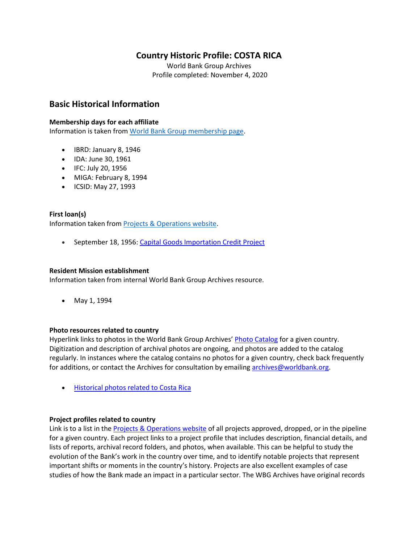# **Country Historic Profile: COSTA RICA**

World Bank Group Archives Profile completed: November 4, 2020

# **Basic Historical Information**

### **Membership days for each affiliate**

Information is taken from [World Bank Group membership page.](https://www.worldbank.org/en/about/leadership/members#1)

- IBRD: January 8, 1946
- IDA: June 30, 1961
- IFC: July 20, 1956
- MIGA: February 8, 1994
- ICSID: May 27, 1993

### **First loan(s)**

Information taken from [Projects & Operations website.](https://projects.worldbank.org/)

• September 18, 1956: [Capital Goods Importation Credit Project](https://projects.worldbank.org/en/projects-operations/project-detail/P006895)

### **Resident Mission establishment**

Information taken from internal World Bank Group Archives resource.

• May 1, 1994

### **Photo resources related to country**

Hyperlink links to photos in the World Bank Group Archives' [Photo Catalog](https://archivesphotos.worldbank.org/en/about/archives/photo-gallery) for a given country. Digitization and description of archival photos are ongoing, and photos are added to the catalog regularly. In instances where the catalog contains no photos for a given country, check back frequently for additions, or contact the Archives for consultation by emailing [archives@worldbank.org.](mailto:archives@worldbank.org)

• [Historical photos related to Costa Rica](https://archivesphotos.worldbank.org/en/about/archives/photo-gallery/photo-gallery-landing?qterm=Costa+Rica&x=0&y=0)

### **Project profiles related to country**

Link is to a list in the [Projects & Operations website](https://projects.worldbank.org/) of all projects approved, dropped, or in the pipeline for a given country. Each project links to a project profile that includes description, financial details, and lists of reports, archival record folders, and photos, when available. This can be helpful to study the evolution of the Bank's work in the country over time, and to identify notable projects that represent important shifts or moments in the country's history. Projects are also excellent examples of case studies of how the Bank made an impact in a particular sector. The WBG Archives have original records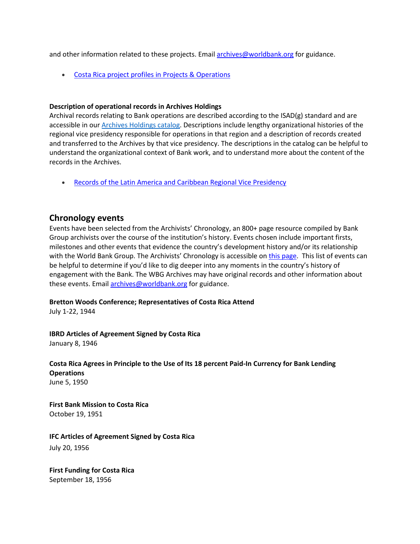and other information related to these projects. Email [archives@worldbank.org](mailto:archives@worldbank.org) for guidance.

• [Costa Rica project profiles in Projects & Operations](https://projects.worldbank.org/en/projects-operations/projects-summary?countrycode_exact=CR)

#### **Description of operational records in Archives Holdings**

Archival records relating to Bank operations are described according to the ISAD(g) standard and are accessible in our [Archives Holdings catalog.](https://archivesholdings.worldbank.org/) Descriptions include lengthy organizational histories of the regional vice presidency responsible for operations in that region and a description of records created and transferred to the Archives by that vice presidency. The descriptions in the catalog can be helpful to understand the organizational context of Bank work, and to understand more about the content of the records in the Archives.

• [Records of the Latin America and Caribbean Regional Vice Presidency](https://archivesholdings.worldbank.org/latin-america-and-caribbean-regional-vice-presidency)

### **Chronology events**

Events have been selected from the Archivists' Chronology, an 800+ page resource compiled by Bank Group archivists over the course of the institution's history. Events chosen include important firsts, milestones and other events that evidence the country's development history and/or its relationship with the World Bank Group. The Archivists' Chronology is accessible on [this page.](https://www.worldbank.org/en/about/archives/history/timeline) This list of events can be helpful to determine if you'd like to dig deeper into any moments in the country's history of engagement with the Bank. The WBG Archives may have original records and other information about these events. Email [archives@worldbank.org](mailto:archives@worldbank.org) for guidance.

### **Bretton Woods Conference; Representatives of Costa Rica Attend**

July 1-22, 1944

**IBRD Articles of Agreement Signed by Costa Rica** January 8, 1946

**Costa Rica Agrees in Principle to the Use of Its 18 percent Paid-In Currency for Bank Lending Operations** June 5, 1950

**First Bank Mission to Costa Rica** October 19, 1951

**IFC Articles of Agreement Signed by Costa Rica** July 20, 1956

**First Funding for Costa Rica** September 18, 1956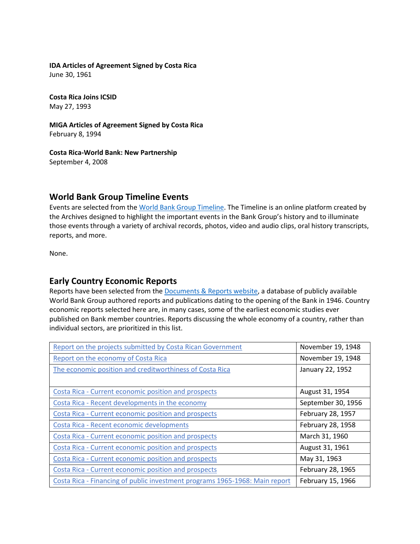# **IDA Articles of Agreement Signed by Costa Rica**

June 30, 1961

**Costa Rica Joins ICSID** May 27, 1993

**MIGA Articles of Agreement Signed by Costa Rica** February 8, 1994

**Costa Rica-World Bank: New Partnership** September 4, 2008

# **World Bank Group Timeline Events**

Events are selected from the [World Bank Group Timeline.](https://timeline.worldbank.org/#event-bretton-woods-conference-begins) The Timeline is an online platform created by the Archives designed to highlight the important events in the Bank Group's history and to illuminate those events through a variety of archival records, photos, video and audio clips, oral history transcripts, reports, and more.

None.

# **Early Country Economic Reports**

Reports have been selected from the **Documents & Reports website**, a database of publicly available World Bank Group authored reports and publications dating to the opening of the Bank in 1946. Country economic reports selected here are, in many cases, some of the earliest economic studies ever published on Bank member countries. Reports discussing the whole economy of a country, rather than individual sectors, are prioritized in this list.

| Report on the projects submitted by Costa Rican Government                  | November 19, 1948  |
|-----------------------------------------------------------------------------|--------------------|
| Report on the economy of Costa Rica                                         | November 19, 1948  |
| The economic position and creditworthiness of Costa Rica                    | January 22, 1952   |
|                                                                             |                    |
| Costa Rica - Current economic position and prospects                        | August 31, 1954    |
| Costa Rica - Recent developments in the economy                             | September 30, 1956 |
| Costa Rica - Current economic position and prospects                        | February 28, 1957  |
| Costa Rica - Recent economic developments                                   | February 28, 1958  |
| Costa Rica - Current economic position and prospects                        | March 31, 1960     |
| Costa Rica - Current economic position and prospects                        | August 31, 1961    |
| Costa Rica - Current economic position and prospects                        | May 31, 1963       |
| Costa Rica - Current economic position and prospects                        | February 28, 1965  |
| Costa Rica - Financing of public investment programs 1965-1968: Main report | February 15, 1966  |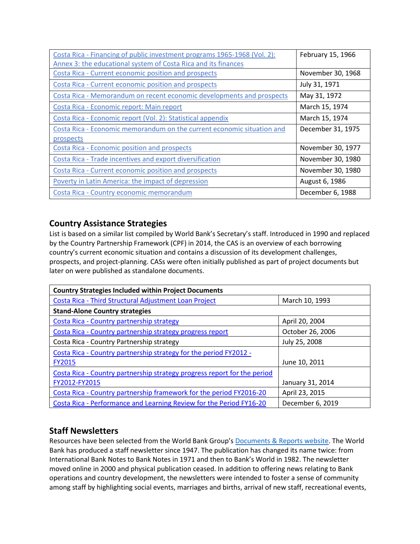| Costa Rica - Financing of public investment programs 1965-1968 (Vol. 2): | February 15, 1966 |
|--------------------------------------------------------------------------|-------------------|
| Annex 3: the educational system of Costa Rica and its finances           |                   |
| Costa Rica - Current economic position and prospects                     | November 30, 1968 |
| Costa Rica - Current economic position and prospects                     | July 31, 1971     |
| Costa Rica - Memorandum on recent economic developments and prospects    | May 31, 1972      |
| Costa Rica - Economic report: Main report                                | March 15, 1974    |
| Costa Rica - Economic report (Vol. 2): Statistical appendix              | March 15, 1974    |
| Costa Rica - Economic memorandum on the current economic situation and   | December 31, 1975 |
| prospects                                                                |                   |
| <b>Costa Rica - Economic position and prospects</b>                      | November 30, 1977 |
| Costa Rica - Trade incentives and export diversification                 | November 30, 1980 |
| Costa Rica - Current economic position and prospects                     | November 30, 1980 |
| Poverty in Latin America: the impact of depression                       | August 6, 1986    |
| Costa Rica - Country economic memorandum                                 | December 6, 1988  |

# **Country Assistance Strategies**

List is based on a similar list compiled by World Bank's Secretary's staff. Introduced in 1990 and replaced by the Country Partnership Framework (CPF) in 2014, the CAS is an overview of each borrowing country's current economic situation and contains a discussion of its development challenges, prospects, and project-planning. CASs were often initially published as part of project documents but later on were published as standalone documents.

| <b>Country Strategies Included within Project Documents</b>              |                  |
|--------------------------------------------------------------------------|------------------|
| Costa Rica - Third Structural Adjustment Loan Project                    | March 10, 1993   |
| <b>Stand-Alone Country strategies</b>                                    |                  |
| Costa Rica - Country partnership strategy                                | April 20, 2004   |
| Costa Rica - Country partnership strategy progress report                | October 26, 2006 |
| Costa Rica - Country Partnership strategy                                | July 25, 2008    |
| Costa Rica - Country partnership strategy for the period FY2012 -        |                  |
| <b>FY2015</b>                                                            | June 10, 2011    |
| Costa Rica - Country partnership strategy progress report for the period |                  |
| FY2012-FY2015                                                            | January 31, 2014 |
| Costa Rica - Country partnership framework for the period FY2016-20      | April 23, 2015   |
| Costa Rica - Performance and Learning Review for the Period FY16-20      | December 6, 2019 |

# **Staff Newsletters**

Resources have been selected from the World Bank Group's [Documents & Reports website.](https://documents.worldbank.org/) The World Bank has produced a staff newsletter since 1947. The publication has changed its name twice: from International Bank Notes to Bank Notes in 1971 and then to Bank's World in 1982. The newsletter moved online in 2000 and physical publication ceased. In addition to offering news relating to Bank operations and country development, the newsletters were intended to foster a sense of community among staff by highlighting social events, marriages and births, arrival of new staff, recreational events,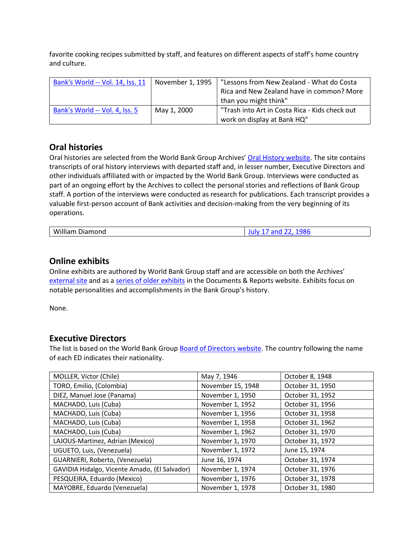favorite cooking recipes submitted by staff, and features on different aspects of staff's home country and culture.

| Bank's World -- Vol. 14, Iss. 11 | November 1, 1995 | "Lessons from New Zealand - What do Costa<br>Rica and New Zealand have in common? More<br>than you might think" |
|----------------------------------|------------------|-----------------------------------------------------------------------------------------------------------------|
| Bank's World -- Vol. 4, Iss. 5   | May 1, 2000      | "Trash into Art in Costa Rica - Kids check out<br>work on display at Bank HQ"                                   |

## **Oral histories**

Oral histories are selected from the World Bank Group Archives' [Oral History website.](https://oralhistory.worldbank.org/) The site contains transcripts of oral history interviews with departed staff and, in lesser number, Executive Directors and other individuals affiliated with or impacted by the World Bank Group. Interviews were conducted as part of an ongoing effort by the Archives to collect the personal stories and reflections of Bank Group staff. A portion of the interviews were conducted as research for publications. Each transcript provides a valuable first-person account of Bank activities and decision-making from the very beginning of its operations.

| __<br>---<br>w<br>טווטוי<br>ла |
|--------------------------------|
|--------------------------------|

### **Online exhibits**

Online exhibits are authored by World Bank Group staff and are accessible on both the Archives' [external site](https://www.worldbank.org/en/about/archives/history/exhibits) and as a [series of older exhibits](https://documents.worldbank.org/en/publication/documents-reports/documentlist?colti=World%20Bank%20Group%20Archives%20exhibit%20series) in the Documents & Reports website. Exhibits focus on notable personalities and accomplishments in the Bank Group's history.

None.

## **Executive Directors**

The list is based on the World Bank Group [Board of Directors website.](https://worldbankgroup.sharepoint.com/sites/wbsites/ExecutiveBoard/Pages/pc/About-the-Boards-05222019-155532/List-of-Executi-05222019-155839.aspx) The country following the name of each ED indicates their nationality.

| MOLLER, Victor (Chile)                        | May 7, 1946       | October 8, 1948  |
|-----------------------------------------------|-------------------|------------------|
| TORO, Emilio, (Colombia)                      | November 15, 1948 | October 31, 1950 |
| DIEZ, Manuel Jose (Panama)                    | November 1, 1950  | October 31, 1952 |
| MACHADO, Luis (Cuba)                          | November 1, 1952  | October 31, 1956 |
| MACHADO, Luis (Cuba)                          | November 1, 1956  | October 31, 1958 |
| MACHADO, Luis (Cuba)                          | November 1, 1958  | October 31, 1962 |
| MACHADO, Luis (Cuba)                          | November 1, 1962  | October 31, 1970 |
| LAJOUS-Martinez, Adrian (Mexico)              | November 1, 1970  | October 31, 1972 |
| UGUETO, Luis, (Venezuela)                     | November 1, 1972  | June 15, 1974    |
| GUARNIERI, Roberto, (Venezuela)               | June 16, 1974     | October 31, 1974 |
| GAVIDIA Hidalgo, Vicente Amado, (El Salvador) | November 1, 1974  | October 31, 1976 |
| PESQUEIRA, Eduardo (Mexico)                   | November 1, 1976  | October 31, 1978 |
| MAYOBRE, Eduardo (Venezuela)                  | November 1, 1978  | October 31, 1980 |